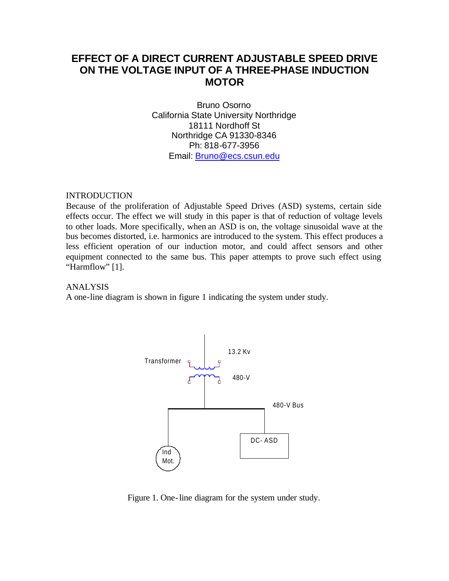# **EFFECT OF A DIRECT CURRENT ADJUSTABLE SPEED DRIVE ON THE VOLTAGE INPUT OF A THREE-PHASE INDUCTION MOTOR**

Bruno Osorno California State University Northridge 18111 Nordhoff St Northridge CA 91330-8346 Ph: 818-677-3956 Email: Bruno@ecs.csun.edu

## INTRODUCTION

Because of the proliferation of Adjustable Speed Drives (ASD) systems, certain side effects occur. The effect we will study in this paper is that of reduction of voltage levels to other loads. More specifically, when an ASD is on, the voltage sinusoidal wave at the bus becomes distorted, i.e. harmonics are introduced to the system. This effect produces a less efficient operation of our induction motor, and could affect sensors and other equipment connected to the same bus. This paper attempts to prove such effect using "Harmflow" [1].

## ANALYSIS

A one-line diagram is shown in figure 1 indicating the system under study.



Figure 1. One-line diagram for the system under study.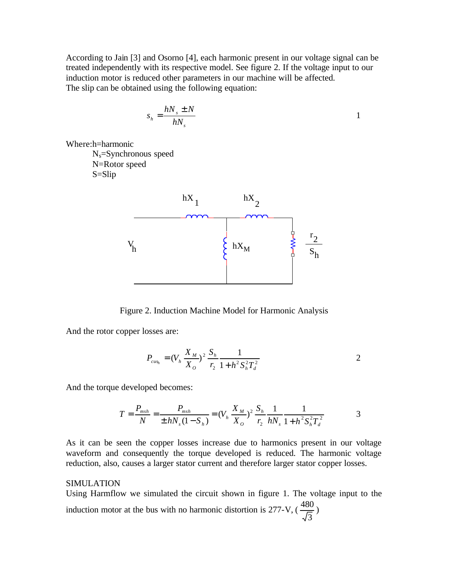According to Jain [3] and Osorno [4], each harmonic present in our voltage signal can be treated independently with its respective model. See figure 2. If the voltage input to our induction motor is reduced other parameters in our machine will be affected. The slip can be obtained using the following equation:

$$
s_h = \frac{hN_s \pm N}{hN_s}
$$

Where:h=harmonic Ns=Synchronous speed N=Rotor speed S=Slip



Figure 2. Induction Machine Model for Harmonic Analysis

And the rotor copper losses are:

$$
P_{\text{cusp}_h} = (V_h \frac{X_M}{X_O})^2 \frac{S_h}{r_2} \frac{1}{1 + h^2 S_h^2 T_d^2}
$$

And the torque developed becomes:

$$
T = \frac{P_{msh}}{N} = \frac{P_{msh}}{\pm hN_s(1-S_h)} = (V_h \frac{X_M}{X_O})^2 \frac{S_h}{r_2} \frac{1}{hN_s} \frac{1}{1+h^2 S_h^2 T_d^2}
$$
 3

As it can be seen the copper losses increase due to harmonics present in our voltage waveform and consequently the torque developed is reduced. The harmonic voltage reduction, also, causes a larger stator current and therefore larger stator copper losses.

#### SIMULATION

Using Harmflow we simulated the circuit shown in figure 1. The voltage input to the induction motor at the bus with no harmonic distortion is 277-V, ( 3  $\frac{480}{5}$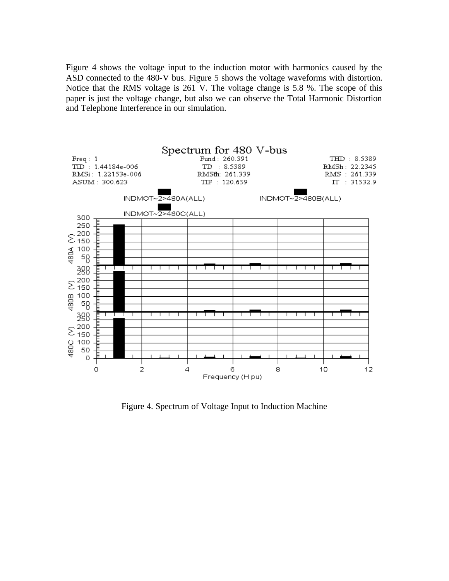Figure 4 shows the voltage input to the induction motor with harmonics caused by the ASD connected to the 480-V bus. Figure 5 shows the voltage waveforms with distortion. Notice that the RMS voltage is 261 V. The voltage change is 5.8 %. The scope of this paper is just the voltage change, but also we can observe the Total Harmonic Distortion and Telephone Interference in our simulation.



Figure 4. Spectrum of Voltage Input to Induction Machine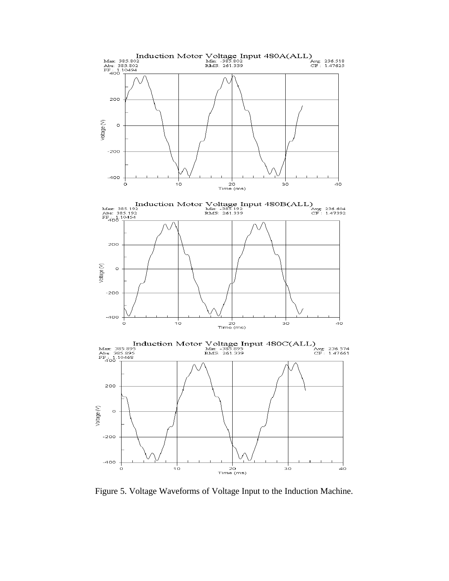

Figure 5. Voltage Waveforms of Voltage Input to the Induction Machine.